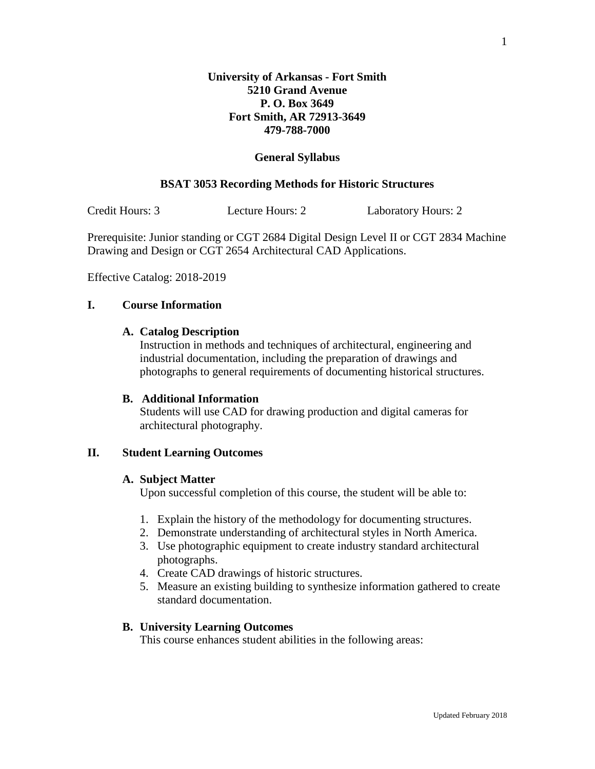## **General Syllabus**

## **BSAT 3053 Recording Methods for Historic Structures**

Credit Hours: 3 Lecture Hours: 2 Laboratory Hours: 2

Prerequisite: Junior standing or CGT 2684 Digital Design Level II or CGT 2834 Machine Drawing and Design or CGT 2654 Architectural CAD Applications.

Effective Catalog: 2018-2019

# **I. Course Information**

## **A. Catalog Description**

Instruction in methods and techniques of architectural, engineering and industrial documentation, including the preparation of drawings and photographs to general requirements of documenting historical structures.

### **B. Additional Information**

Students will use CAD for drawing production and digital cameras for architectural photography.

#### **II. Student Learning Outcomes**

## **A. Subject Matter**

Upon successful completion of this course, the student will be able to:

- 1. Explain the history of the methodology for documenting structures.
- 2. Demonstrate understanding of architectural styles in North America.
- 3. Use photographic equipment to create industry standard architectural photographs.
- 4. Create CAD drawings of historic structures.
- 5. Measure an existing building to synthesize information gathered to create standard documentation.

### **B. University Learning Outcomes**

This course enhances student abilities in the following areas: